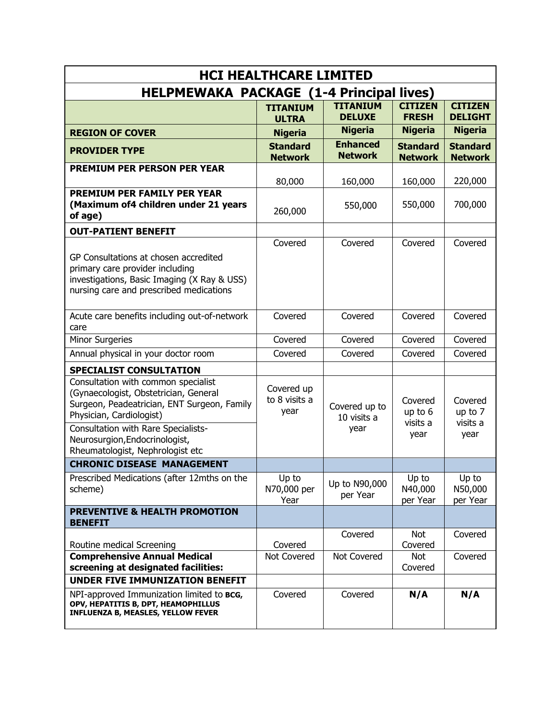| <b>HCI HEALTHCARE LIMITED</b>                                                                                                                                                                                                    |                                     |                                      |                                        |                                        |  |  |  |
|----------------------------------------------------------------------------------------------------------------------------------------------------------------------------------------------------------------------------------|-------------------------------------|--------------------------------------|----------------------------------------|----------------------------------------|--|--|--|
| <b>HELPMEWAKA PACKAGE (1-4 Principal lives)</b>                                                                                                                                                                                  |                                     |                                      |                                        |                                        |  |  |  |
|                                                                                                                                                                                                                                  | <b>TITANIUM</b>                     | <b>TITANIUM</b><br><b>DELUXE</b>     | <b>CITIZEN</b><br><b>FRESH</b>         | <b>CITIZEN</b><br><b>DELIGHT</b>       |  |  |  |
| <b>REGION OF COVER</b>                                                                                                                                                                                                           | <b>ULTRA</b><br><b>Nigeria</b>      | <b>Nigeria</b>                       | <b>Nigeria</b>                         | <b>Nigeria</b>                         |  |  |  |
|                                                                                                                                                                                                                                  | <b>Standard</b>                     | <b>Enhanced</b>                      | <b>Standard</b>                        | <b>Standard</b>                        |  |  |  |
| <b>PROVIDER TYPE</b>                                                                                                                                                                                                             | <b>Network</b>                      | <b>Network</b>                       | <b>Network</b>                         | <b>Network</b>                         |  |  |  |
| <b>PREMIUM PER PERSON PER YEAR</b>                                                                                                                                                                                               | 80,000                              | 160,000                              | 160,000                                | 220,000                                |  |  |  |
| <b>PREMIUM PER FAMILY PER YEAR</b><br>(Maximum of4 children under 21 years<br>of age)                                                                                                                                            | 260,000                             | 550,000                              | 550,000                                | 700,000                                |  |  |  |
| <b>OUT-PATIENT BENEFIT</b>                                                                                                                                                                                                       |                                     |                                      |                                        |                                        |  |  |  |
| GP Consultations at chosen accredited<br>primary care provider including<br>investigations, Basic Imaging (X Ray & USS)<br>nursing care and prescribed medications                                                               | Covered                             | Covered                              | Covered                                | Covered                                |  |  |  |
| Acute care benefits including out-of-network<br>care                                                                                                                                                                             | Covered                             | Covered                              | Covered                                | Covered                                |  |  |  |
| <b>Minor Surgeries</b>                                                                                                                                                                                                           | Covered                             | Covered                              | Covered                                | Covered                                |  |  |  |
| Annual physical in your doctor room                                                                                                                                                                                              | Covered                             | Covered                              | Covered                                | Covered                                |  |  |  |
| SPECIALIST CONSULTATION                                                                                                                                                                                                          |                                     |                                      |                                        |                                        |  |  |  |
| Consultation with common specialist<br>(Gynaecologist, Obstetrician, General<br>Surgeon, Peadeatrician, ENT Surgeon, Family<br>Physician, Cardiologist)<br>Consultation with Rare Specialists-<br>Neurosurgion, Endocrinologist, | Covered up<br>to 8 visits a<br>year | Covered up to<br>10 visits a<br>year | Covered<br>up to 6<br>visits a<br>year | Covered<br>up to 7<br>visits a<br>year |  |  |  |
| Rheumatologist, Nephrologist etc                                                                                                                                                                                                 |                                     |                                      |                                        |                                        |  |  |  |
| <b>CHRONIC DISEASE MANAGEMENT</b>                                                                                                                                                                                                |                                     |                                      |                                        |                                        |  |  |  |
| Prescribed Medications (after 12mths on the<br>scheme)                                                                                                                                                                           | Up to<br>N70,000 per<br>Year        | Up to N90,000<br>per Year            | Up to<br>N40,000<br>per Year           | Up to<br>N50,000<br>per Year           |  |  |  |
| <b>PREVENTIVE &amp; HEALTH PROMOTION</b><br><b>BENEFIT</b>                                                                                                                                                                       |                                     |                                      |                                        |                                        |  |  |  |
| Routine medical Screening                                                                                                                                                                                                        | Covered                             | Covered                              | Not<br>Covered                         | Covered                                |  |  |  |
| <b>Comprehensive Annual Medical</b><br>screening at designated facilities:                                                                                                                                                       | Not Covered                         | Not Covered                          | Not<br>Covered                         | Covered                                |  |  |  |
| <b>UNDER FIVE IMMUNIZATION BENEFIT</b>                                                                                                                                                                                           |                                     |                                      |                                        |                                        |  |  |  |
| NPI-approved Immunization limited to BCG,<br>OPV, HEPATITIS B, DPT, HEAMOPHILLUS<br><b>INFLUENZA B, MEASLES, YELLOW FEVER</b>                                                                                                    | Covered                             | Covered                              | N/A                                    | N/A                                    |  |  |  |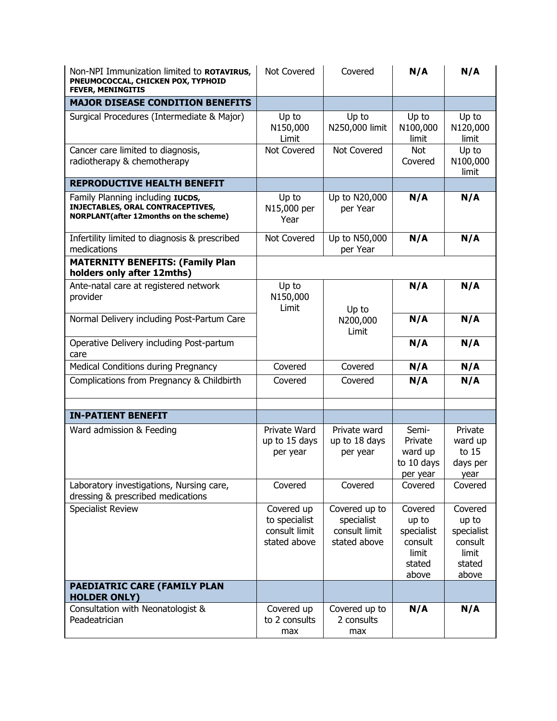| Non-NPI Immunization limited to ROTAVIRUS,<br>PNEUMOCOCCAL, CHICKEN POX, TYPHOID<br><b>FEVER, MENINGITIS</b>           | Not Covered                                                  | Covered                                                      | N/A                                                                   | N/A                                                                   |
|------------------------------------------------------------------------------------------------------------------------|--------------------------------------------------------------|--------------------------------------------------------------|-----------------------------------------------------------------------|-----------------------------------------------------------------------|
| <b>MAJOR DISEASE CONDITION BENEFITS</b>                                                                                |                                                              |                                                              |                                                                       |                                                                       |
| Surgical Procedures (Intermediate & Major)                                                                             | Up to<br>N150,000<br>Limit                                   | Up to<br>N250,000 limit                                      | Up to<br>N100,000<br>limit                                            | Up to<br>N120,000<br>limit                                            |
| Cancer care limited to diagnosis,<br>radiotherapy & chemotherapy                                                       | <b>Not Covered</b>                                           | Not Covered                                                  | Not<br>Covered                                                        | Up to<br>N100,000<br>limit                                            |
| <b>REPRODUCTIVE HEALTH BENEFIT</b>                                                                                     |                                                              |                                                              |                                                                       |                                                                       |
| Family Planning including IUCDS,<br>INJECTABLES, ORAL CONTRACEPTIVES,<br><b>NORPLANT(after 12months on the scheme)</b> | Up to<br>N15,000 per<br>Year                                 | Up to N20,000<br>per Year                                    | N/A                                                                   | N/A                                                                   |
| Infertility limited to diagnosis & prescribed<br>medications                                                           | Not Covered                                                  | Up to N50,000<br>per Year                                    | N/A                                                                   | N/A                                                                   |
| <b>MATERNITY BENEFITS: (Family Plan</b><br>holders only after 12mths)                                                  |                                                              |                                                              |                                                                       |                                                                       |
| Ante-natal care at registered network<br>provider                                                                      | Up to<br>N150,000<br>Limit                                   | Up to                                                        | N/A                                                                   | N/A                                                                   |
| Normal Delivery including Post-Partum Care                                                                             |                                                              | N200,000<br>Limit                                            | N/A                                                                   | N/A                                                                   |
| Operative Delivery including Post-partum<br>care                                                                       |                                                              |                                                              | N/A                                                                   | N/A                                                                   |
| Medical Conditions during Pregnancy                                                                                    | Covered                                                      | Covered                                                      | N/A                                                                   | N/A                                                                   |
| Complications from Pregnancy & Childbirth                                                                              | Covered                                                      | Covered                                                      | N/A                                                                   | N/A                                                                   |
| <b>IN-PATIENT BENEFIT</b>                                                                                              |                                                              |                                                              |                                                                       |                                                                       |
| Ward admission & Feeding                                                                                               | Private Ward<br>up to 15 days<br>per year                    | Private ward<br>up to 18 days<br>per year                    | Semi-<br>Private<br>ward up<br>to 10 days<br>per year                 | Private<br>ward up<br>to 15<br>days per<br>year                       |
| Laboratory investigations, Nursing care,<br>dressing & prescribed medications                                          | Covered                                                      | Covered                                                      | Covered                                                               | Covered                                                               |
| <b>Specialist Review</b>                                                                                               | Covered up<br>to specialist<br>consult limit<br>stated above | Covered up to<br>specialist<br>consult limit<br>stated above | Covered<br>up to<br>specialist<br>consult<br>limit<br>stated<br>above | Covered<br>up to<br>specialist<br>consult<br>limit<br>stated<br>above |
| PAEDIATRIC CARE (FAMILY PLAN<br><b>HOLDER ONLY)</b>                                                                    |                                                              |                                                              |                                                                       |                                                                       |
| Consultation with Neonatologist &<br>Peadeatrician                                                                     | Covered up<br>to 2 consults<br>max                           | Covered up to<br>2 consults<br>max                           | N/A                                                                   | N/A                                                                   |